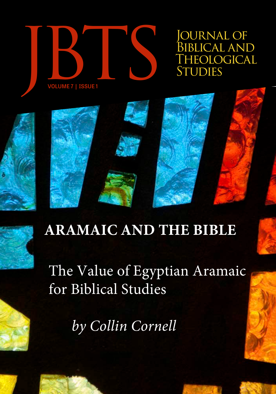

OURNAL OF BIBLICAL AND<br>THEOLOGICAL



The Value of Egyptian Aramaic for Biblical Studies

*by Collin Cornell*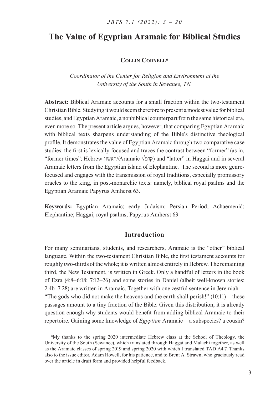# **The Value of Egyptian Aramaic for Biblical Studies**

# **Collin Cornell\***

*Coordinator of the Center for Religion and Environment at the University of the South in Sewanee, TN.*

**Abstract:** Biblical Aramaic accounts for a small fraction within the two-testament Christian Bible. Studying it would seem therefore to present a modest value for biblical studies, and Egyptian Aramaic, a nonbiblical counterpart from the same historical era, even more so. The present article argues, however, that comparing Egyptian Aramaic with biblical texts sharpens understanding of the Bible's distinctive theological profile. It demonstrates the value of Egyptian Aramaic through two comparative case studies: the first is lexically-focused and traces the contrast between "former" (as in, "former times"; Hebrew ואשון/Aramaic √קדם (and "latter" in Haggai and in several Aramaic letters from the Egyptian island of Elephantine. The second is more genrefocused and engages with the transmission of royal traditions, especially promissory oracles to the king, in post-monarchic texts: namely, biblical royal psalms and the Egyptian Aramaic Papyrus Amherst 63.

**Keywords:** Egyptian Aramaic; early Judaism; Persian Period; Achaemenid; Elephantine; Haggai; royal psalms; Papyrus Amherst 63

# **Introduction**

For many seminarians, students, and researchers, Aramaic is the "other" biblical language. Within the two-testament Christian Bible, the first testament accounts for roughly two-thirds of the whole; it is written almost entirely in Hebrew. The remaining third, the New Testament, is written in Greek. Only a handful of letters in the book of Ezra (4:8–6:18; 7:12–26) and some stories in Daniel (albeit well-known stories: 2:4b–7:28) are written in Aramaic. Together with one zestful sentence in Jeremiah— "The gods who did not make the heavens and the earth shall perish!"  $(10:11)$ —these passages amount to a tiny fraction of the Bible. Given this distribution, it is already question enough why students would benefit from adding biblical Aramaic to their repertoire. Gaining some knowledge of *Egyptian* Aramaic—a subspecies? a cousin?

\*My thanks to the spring 2020 intermediate Hebrew class at the School of Theology, the University of the South (Sewanee), which translated through Haggai and Malachi together, as well as the Aramaic classes of spring 2019 and spring 2020 with which I translated TAD A4.7. Thanks also to the issue editor, Adam Howell, for his patience, and to Brent A. Strawn, who graciously read over the article in draft form and provided helpful feedback.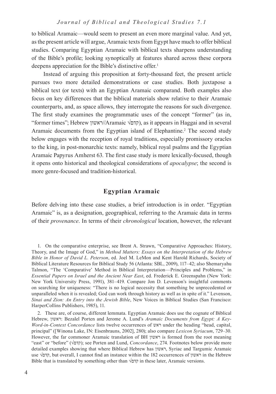to biblical Aramaic—would seem to present an even more marginal value. And yet, as the present article will argue, Aramaic texts from Egypt have much to offer biblical studies. Comparing Egyptian Aramaic with biblical texts sharpens understanding of the Bible's profile; looking synoptically at features shared across these corpora deepens appreciation for the Bible's distinctive offer.<sup>1</sup>

Instead of arguing this proposition at forty-thousand feet, the present article pursues two more detailed demonstrations or case studies. Both juxtapose a biblical text (or texts) with an Egyptian Aramaic comparand. Both examples also focus on key differences that the biblical materials show relative to their Aramaic counterparts, and, as space allows, they interrogate the reasons for such divergence. The first study examines the programmatic uses of the concept "former" (as in, "former times"; Hebrew ראשון//Aramaic √קדם(, as it appears in Haggai and in several Aramaic documents from the Egyptian island of Elephantine.<sup>2</sup> The second study below engages with the reception of royal traditions, especially promissory oracles to the king, in post-monarchic texts: namely, biblical royal psalms and the Egyptian Aramaic Papyrus Amherst 63. The first case study is more lexically-focused, though it opens onto historical and theological considerations of *apocalypse*; the second is more genre-focused and tradition-historical.

## **Egyptian Aramaic**

Before delving into these case studies, a brief introduction is in order. "Egyptian Aramaic" is, as a designation, geographical, referring to the Aramaic data in terms of their *provenance*. In terms of their *chronological* location, however, the relevant

<sup>1.</sup> On the comparative enterprise, see Brent A. Strawn, "Comparative Approaches: History, Theory, and the Image of God," in *Method Matters: Essays on the Interpretation of the Hebrew Bible in Honor of David L. Peterson*, ed. Joel M. LeMon and Kent Harold Richards, Society of Biblical Literature Resources for Biblical Study 56 (Atlanta: SBL, 2009), 117–42; also Shemaryahu Talmon, "The 'Comparative' Method in Biblical Interpretation—Principles and Problems," in *Essential Papers on Israel and the Ancient Near East*, ed. Frederick E. Greenspahn (New York: New York University Press, 1991), 381–419. Compare Jon D. Levenson's insightful comments on searching for uniqueness: "There is no logical necessity that something be unprecedented or unparalleled when it is revealed; God can work through history as well as in spite of it." Levenson, *Sinai and Zion: An Entry into the Jewish Bible*, New Voices in Biblical Studies (San Francisco: HarperCollins Publishers, 1985), 11.

<sup>2</sup>. These are, of course, different lemmata. Egyptian Aramaic does use the cognate of Biblical Hebrew, ראשון: Bezalel Porten and Jerome A. Lund's *Aramaic Documents from Egypt: A Key-Word-in-Context Concordance* lists twelve occurrences of ראש under the heading "head, capital, principal" ([Winona Lake, IN: Eisenbrauns, 2002], 280); also compare *Lexicon Syriacum*, 729–30. However, the far commoner Aramaic translation of BH ראשון is formed from the root meaning "east" or "before" ( $\overline{\gamma}$ ); see Porten and Lund, *Concordance*, 274. Footnotes below provide more detailed examples showing that where Biblical Hebrew has ראשון, Syriac and Targumic Aramaic use √קדם, but overall, I cannot find an instance within the 182 occurrences of ראשון in the Hebrew Bible that is translated by something other than  $\sqrt{p}$  in these later, Aramaic versions.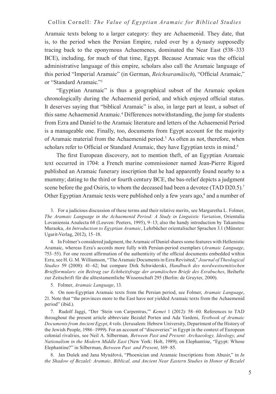Aramaic texts belong to a larger category: they are Achaemenid. They date, that is, to the period when the Persian Empire, ruled over by a dynasty supposedly tracing back to the eponymous Achaemenes, dominated the Near East (538–333 BCE), including, for much of that time, Egypt. Because Aramaic was the official administrative language of this empire, scholars also call the Aramaic language of this period "Imperial Aramaic" (in German, *Reichsaramäisch*), "Official Aramaic," or "Standard Aramaic."3

"Egyptian Aramaic" is thus a geographical subset of the Aramaic spoken chronologically during the Achaemenid period, and which enjoyed official status. It deserves saying that "biblical Aramaic" is also, in large part at least, a subset of this same Achaemenid Aramaic.4 Differences notwithstanding, the jump for students from Ezra and Daniel to the Aramaic literature and letters of the Achaemenid Period is a manageable one. Finally, too, documents from Egypt account for the majority of Aramaic material from the Achaemenid period.<sup>5</sup> As often as not, therefore, when scholars refer to Official or Standard Aramaic, they have Egyptian texts in mind.<sup>6</sup>

The first European discovery, not to mention theft, of an Egyptian Aramaic text occurred in 1704: a French marine commissioner named Jean-Pierre Rigord published an Aramaic funerary inscription that he had apparently found nearby to a mummy; dating to the third or fourth century BCE, the bas-relief depicts a judgment scene before the god Osiris, to whom the deceased had been a devotee (TAD D20.5).<sup>7</sup> Other Egyptian Aramaic texts were published only a few years ago,<sup>8</sup> and a number of

3. For a judicious discussion of these terms and their relative merits, see Margaretha L. Folmer, *The Aramaic Language in the Achaemenid Period: A Study in Linguistic Variation*, Orientalia Lovaniensia Analecta 68 (Leuven: Peeters, 1995), 9–13; also the handy introduction by Takamitsu Muraoka, *An Introduction to Egyptian Aramaic*, Lehrbücher orientalischer Sprachen 3.1 (Münster: Ugarit-Verlag, 2012), 15–18.

4. In Folmer's considered judgment, the Aramaic of Daniel shares some features with Hellenistic Aramaic, whereas Ezra's accords more fully with Persian-period exemplars (*Aramaic Language*, 753–55). For one recent affirmation of the authenticity of the official documents embedded within Ezra, see H. G. M. Williamson, "The Aramaic Documents in Ezra Revisited," *Journal of Theological Studies* 59 (2008): 41–62; but compare Dirk Schwiderski, *Handbuch des nordwestsemitischen Briefformulars: ein Beitrag zur Echtheitsfrage der aramäischen Briefe des Esrabuches*, Beihefte zur Zeitschrift für die alttestamentliche Wissenschaft 295 (Berlin: de Gruyter, 2000).

5. Folmer, *Aramaic Language*, 13.

6. On non-Egyptian Aramaic texts from the Persian period, see Folmer, *Aramaic Language*, 21. Note that "the provinces more to the East have not yielded Aramaic texts from the Achaemenid period" (ibid.).

7. Rudolf Jaggi, "Der 'Stein von Carpentras,'" *Kemet* 1 (2012): 58–60. References to TAD throughout the present article abbreviate Bezalel Porten and Ada Yardeni, *Textbook of Aramaic Documents from Ancient Egypt*, 4 vols. (Jerusalem: Hebrew University, Department of the History of the Jewish People, 1986–1999). For an account of "discoveries" in Egypt in the context of European colonial rivalries, see Neil A. Silberman*, Between Past and Present: Archaeology, Ideology, and Nationalism in the Modern Middle East* (New York: Holt, 1989); on Elephantine, "Egypt: Whose Elephantine?" in Silberman, *Between Past and Present*, 169–85.

8. Jan Dušek and Jana Mynářová, "Phoenician and Aramaic Inscriptions from Abusir," in *In the Shadow of Bezalel: Aramaic, Biblical, and Ancient Near Eastern Studies in Honor of Bezalel*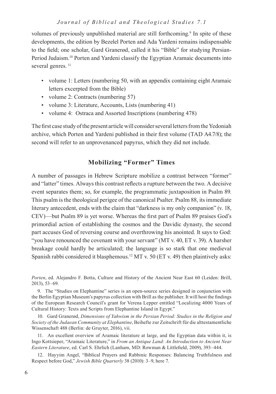volumes of previously unpublished material are still forthcoming.<sup>9</sup> In spite of these developments, the edition by Bezelel Porten and Ada Yardeni remains indispensable to the field; one scholar, Gard Granerød, called it his "Bible" for studying Persian-Period Judaism.<sup>10</sup> Porten and Yardeni classify the Egyptian Aramaic documents into several genres.<sup>11</sup>

- volume 1: Letters (numbering 50, with an appendix containing eight Aramaic letters excerpted from the Bible)
- volume 2: Contracts (numbering 57)
- volume 3: Literature, Accounts, Lists (numbering 41)
- volume 4: Ostraca and Assorted Inscriptions (numbering 478)

The first case study of the present article will consider several letters from the Yedoniah archive, which Porten and Yardeni published in their first volume (TAD A4.7/8); the second will refer to an unprovenanced papyrus, which they did not include.

# **Mobilizing "Former" Times**

A number of passages in Hebrew Scripture mobilize a contrast between "former" and "latter" times. Always this contrast reflects a rupture between the two. A decisive event separates them; so, for example, the programmatic juxtaposition in Psalm 89. This psalm is the theological perigee of the canonical Psalter. Psalm 88, its immediate literary antecedent, ends with the claim that "darkness is my only companion" (v. 18, CEV)—but Psalm 89 is yet worse. Whereas the first part of Psalm 89 praises God's primordial action of establishing the cosmos and the Davidic dynasty, the second part accuses God of reversing course and overthrowing his anointed. It says to God: "you have renounced the covenant with your servant" (MT v. 40, ET v. 39). A harsher breakage could hardly be articulated; the language is so stark that one medieval Spanish rabbi considered it blasphemous.<sup>12</sup> MT v. 50 (ET v. 49) then plaintively asks:

*Porten*, ed. Alejandro F. Botta, Culture and History of the Ancient Near East 60 (Leiden: Brill, 2013), 53–69.

9. The "Studies on Elephantine" series is an open-source series designed in conjunction with the Berlin Egyptian Museum's papyrus collection with Brill as the publisher. It will host the findings of the European Research Council's grant for Verena Lepper entitled "Localizing 4000 Years of Cultural History: Texts and Scripts from Elephantine Island in Egypt."

10. Gard Granerød, *Dimensions of Yahwism in the Persian Period: Studies in the Religion and Society of the Judaean Community at Elephantine*, Beihefte zur Zeitschrift für die alttestamentliche Wissenschaft 488 (Berlin: de Gruyter, 2016), vii.

11. An excellent overview of Aramaic literature at large, and the Egyptian data within it, is Ingo Kottsieper, "Aramaic Literature," in *From an Antique Land: An Introduction to Ancient Near Eastern Literature*, ed. Carl S. Ehrlich (Lanham, MD: Rowman & Littlefield, 2009), 393–444.

12. Hayyim Angel, "Biblical Prayers and Rabbinic Responses: Balancing Truthfulness and Respect before God," *Jewish Bible Quarterly* 38 (2010): 3–9, here 7.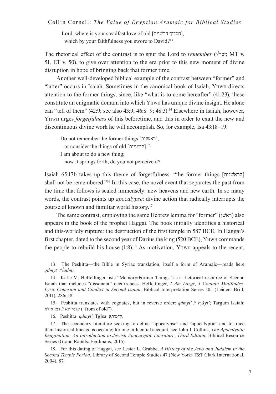Lord, where is your steadfast love of old  $[$ הסדיך הרשנים $]$ , which by your faithfulness you swore to David?<sup>13</sup>

The rhetorical effect of the contrast is to spur the Lord to *remember* ( $\sqrt{2}$ זכר; MT v. 51, ET v. 50), to give over attention to the era prior to this new moment of divine disruption in hope of bringing back that former time.

Another well-developed biblical example of the contrast between "former" and "latter" occurs in Isaiah. Sometimes in the canonical book of Isaiah, Yhwh directs attention to the former things, since, like "what is to come hereafter" (41:23), these constitute an enigmatic domain into which Yhwh has unique divine insight. He alone can "tell of them"  $(42.9;$  see also  $43.9;$   $46.8-9;$   $48.3$ ).<sup>14</sup> Elsewhere in Isaiah, however, Yhwh urges *forgetfulness* of this beforetime, and this in order to exalt the new and discontinuous divine work he will accomplish. So, for example, Isa 43:18–19:

Do not remember the former things [ראשנות[, or consider the things of old [קדמניות].<sup>15</sup> I am about to do a new thing; now it springs forth, do you not perceive it?

Isaiah 65:17b takes up this theme of forgetfulness: "the former things [הראשׁנות] shall not be remembered."16 In this case, the novel event that separates the past from the time that follows is scaled immensely: new heavens and new earth. In so many words, the contrast points up *apocalypse*: divine action that radically interrupts the course of known and familiar world history.17

The same contrast, employing the same Hebrew lemma for "former" (ראשׁן) also appears in the book of the prophet Haggai. The book initially identifies a historical and this-worldly rupture: the destruction of the first temple in 587 BCE. In Haggai's first chapter, dated to the second year of Darius the king (520 BCE), Yhwh commands the people to rebuild his house  $(1.8)$ .<sup>18</sup> As motivation, Y<sub>HWH</sub> appeals to the recent,

16. Peshitta: *qdmyt'*; TgIsa: קדמיתא.

17. The secondary literature seeking to define "apocalypse" and "apocalyptic" and to trace their historical lineage is oceanic; for one influential account, see John J. Collins, *The Apocalyptic Imagination: An Introduction to Jewish Apocalyptic Literature*, *Third Edition*, Biblical Resource Series (Grand Rapids: Eerdmans, 2016).

18. For this dating of Haggai, see Lester L. Grabbe, *A History of the Jews and Judaism in the Second Temple Period*, Library of Second Temple Studies 47 (New York: T&T Clark International, 2004), 87.

<sup>13</sup>. The Peshitta—the Bible in Syriac translation, itself a form of Aramaic—reads here *qdmyt' (√qdm)*.

<sup>14</sup>. Katie M. Heffelfinger lists "Memory/Former Things" as a rhetorical resource of Second Isaiah that includes "dissonant" occurrences. Heffelfinger, *I Am Large, I Contain Multitudes: Lyric Cohesion and Conflict in Second Isaiah*, Biblical Interpretation Series 105 (Leiden: Brill, 2011), 286n18.

<sup>15</sup>. Peshitta translates with cognates, but in reverse order: *qdmyt'* // *ryšyt'*; Targum Isaiah: אולא // דמן ("from of old").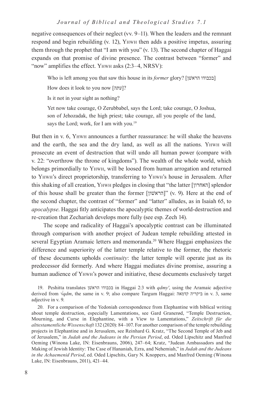negative consequences of their neglect (vv. 9–11). When the leaders and the remnant respond and begin rebuilding (v. 12), Yhwh then adds a positive impetus, assuring them through the prophet that "I am with you" (v. 13). The second chapter of Haggai expands on that promise of divine presence. The contrast between "former" and "now" amplifies the effect. YHWH asks (2:3–4, NRSV):

Who is left among you that saw this house in its *former* glory? [[בכבודו הראשן]

How does it look to you now ["[עתה]?

Is it not in your sight as nothing?

Yet now take courage, O Zerubbabel, says the Lord; take courage, O Joshua, son of Jehozadak, the high priest; take courage, all you people of the land, says the Lord; work, for I am with you.<sup>19</sup>

But then in v. 6, Yhwh announces a further reassurance: he will shake the heavens and the earth, the sea and the dry land, as well as all the nations. Yhwh will prosecute an event of destruction that will undo all human power (compare with v. 22: "overthrow the throne of kingdoms"). The wealth of the whole world, which belongs primordially to Yhwh, will be loosed from human arrogation and returned to Yhwh's direct proprietorship, transferring to Yhwh's house in Jerusalem. After this shaking of all creation, Yhwh pledges in closing that "the latter [האחרון [splendor of this house shall be greater than the former [ $\lceil \frac{1}{n} \rceil$ " (v. 9). Here at the end of the second chapter, the contrast of "former" and "latter" alludes, as in Isaiah 65, to *apocalypse*. Haggai fitly anticipates the apocalyptic themes of world-destruction and re-creation that Zechariah develops more fully (see esp. Zech 14).

The scope and radicality of Haggai's apocalyptic contrast can be illuminated through comparison with another project of Judean temple rebuilding attested in several Egyptian Aramaic letters and memoranda.<sup>20</sup> Where Haggai emphasizes the difference and superiority of the latter temple relative to the former, the rhetoric of these documents upholds *continuity*: the latter temple will operate just as its predecessor did formerly. And where Haggai mediates divine promise, assuring a human audience of Yhwh's power and initiative, these documents exclusively target

19. Peshitta translates שןׁהרא בכבודו in Haggai 2:3 with *qdmy'*, using the Aramaic adjective derived from √*qdm*, the same in v. 9; also compare Targum Haggai: קדמאה ביקריה in v. 3, same adjective in v. 9.

20. For a comparison of the Yedoniah correspondence from Elephantine with biblical writing about temple destruction, especially Lamentations, see Gard Granerød, "Temple Destruction, Mourning, and Curse in Elephantine, with a View to Lamentations," *Zeitschrift für die alttestamentliche Wissenschaft* 132 (2020): 84–107. For another comparison of the temple rebuilding projects in Elephantine and in Jerusalem, see Reinhard G. Kratz, "The Second Temple of Jeb and of Jerusalem," in *Judah and the Judeans in the Persian Period*, ed. Oded Lipschitz and Manfred Oeming (Winona Lake, IN: Eisenbrauns, 2006), 247–64; Kratz, "Judean Ambassadors and the Making of Jewish Identity: The Case of Hananiah, Ezra, and Nehemiah," in *Judah and the Judeans in the Achaemenid Period*, ed. Oded Lipschits, Gary N. Knoppers, and Manfred Oeming (Winona Lake, IN: Eisenbrauns, 2011), 421–44.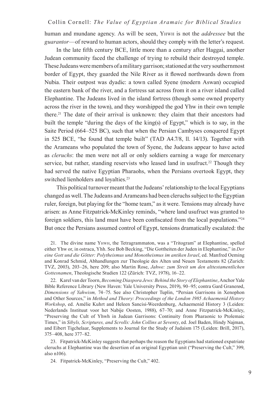human and mundane agency. As will be seen, Yhwh is not the *addressee* but the *guarantor*—of reward to human actors, should they comply with the letter's request.

In the late fifth century BCE, little more than a century after Haggai, another Judean community faced the challenge of trying to rebuild their destroyed temple. These Judeans were members of a military garrison; stationed at the very southernmost border of Egypt, they guarded the Nile River as it flowed northwards down from Nubia. Their outpost was dyadic: a town called Syene (modern Aswan) occupied the eastern bank of the river, and a fortress sat across from it on a river island called Elephantine. The Judeans lived in the island fortress (though some owned property across the river in the town), and they worshipped the god Yhw in their own temple there.21 The date of their arrival is unknown: they claim that their ancestors had built the temple "during the days of the king(s) of Egypt," which is to say, in the Saite Period (664–525 BC), such that when the Persian Cambyses conquered Egypt in 525 BCE, "he found that temple built" (TAD A4.7/8, ll. 14/13). Together with the Arameans who populated the town of Syene, the Judeans appear to have acted as *cleruchs*: the men were not all or only soldiers earning a wage for mercenary service, but rather, standing reservists who leased land in usufruct.<sup>22</sup> Though they had served the native Egyptian Pharaohs, when the Persians overtook Egypt, they switched lienholders and loyalties.<sup>23</sup>

This political turnover meant that the Judeans' relationship to the local Egyptians changed as well. The Judeans and Arameans had been cleruchs subject to the Egyptian ruler, foreign, but playing for the "home team," as it were. Tensions may already have arisen: as Anne Fitzpatrick-McKinley reminds, "where land usufruct was granted to foreign soldiers, this land must have been confiscated from the local populations."<sup>24</sup> But once the Persians assumed control of Egypt, tensions dramatically escalated: the

21. The divine name Yhwh, the Tetragrammaton, was a "Tritogram" at Elephantine, spelled either Yhw or, in ostraca, Yhh. See Bob Becking, "Die Gottheiten der Juden in Elephantine," in *Der eine Gott und die Götter: Polytheismus und Monotheismus im antiken Israel*, ed. Manfred Oeming and Konrad Schmid, Abhandlungen zur Theologie des Alten und Neuen Testaments 82 (Zurich: TVZ, 2003), 203–26, here 209; also Martin Rose, *Jahwe: zum Streit um den alttestamentlichen Gottesnamen*, Theologische Studien 122 (Zürich: TVZ, 1978), 16–22.

22. Karel van der Toorn, *Becoming Diaspora Jews: Behind the Story of Elephantine*, Anchor Yale Bible Reference Library (New Haven: Yale University Press, 2019), 90–95; contra Gard Granerød, *Dimensions of Yahwism,* 74–75. See also Christopher Tuplin, "Persian Garrisons in Xenophon and Other Sources," in *Method and Theory: Proceedings of the London 1985 Achaemenid History Workshop*, ed. Amélie Kuhrt and Heleen Sancisi-Weerdenburg, Achaemenid History 3 (Leiden: Nederlands Instituut voor het Nabije Oosten, 1988), 67–70; and Anne Fitzpatrick-McKinley, "Preserving the Cult of Yhwh in Judean Garrisons: Continuity from Pharaonic to Ptolemaic Times," in *Sibyls, Scriptures, and Scrolls: John Collins at Seventy*, ed. Joel Baden, Hindy Najman, and Eibert Tigchelaar, Supplements to Journal for the Study of Judaism 175 (Leiden: Brill, 2017), 375–408, here 377–82.

23. Fitpatrick-McKinley suggests that perhaps the reason the Egyptians had stationed expatriate cleruchs at Elephantine was the desertion of an original Egyptian unit ("Preserving the Cult," 399, also n106).

24. Fitpatrick-McKinley, "Preserving the Cult," 402.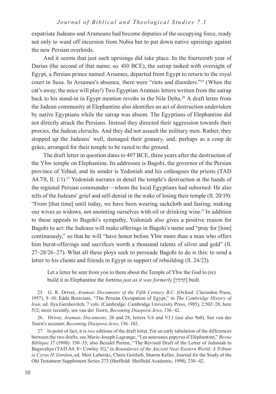expatriate Judeans and Arameans had become deputies of the occupying force, ready not only to ward off incursion from Nubia but to put down native uprisings against the new Persian overlords.

And it seems that just such uprisings did take place. In the fourteenth year of Darius (the second of that name; so: 410 BCE), the satrap tasked with oversight of Egypt, a Persian prince named Arsames, departed from Egypt to return to the royal court in Susa. In Arsames's absence, there were "riots and disorders."25 (When the cat's away, the mice will play!) Two Egyptian Aramaic letters written from the satrap back to his stand-in in Egypt mention revolts in the Nile Delta.<sup>26</sup> A draft letter from the Judean community at Elephantine also identifies an act of destruction undertaken by native Egyptians while the satrap was absent. The Egyptians of Elephantine did not directly attack the Persians. Instead they directed their aggression towards their proxies, the Judean cleruchs. And they did not assault the military men. Rather, they stopped up the Judeans' well, damaged their granary, and, perhaps as a coup de grâce, arranged for their temple to be razed to the ground.

The draft letter in question dates to 407 BCE, three years after the destruction of the Yhw temple on Elephantine. Its addressee is Bagohi, the governor of the Persian province of Yehud, and its sender is Yedoniah and his colleagues the priests (TAD A4.7/8, 11. 1/1).<sup>27</sup> Yedoniah narrates in detail the temple's destruction at the hands of the regional Persian commander—whom the local Egyptians had suborned. He also tells of the Judeans' grief and self-denial in the wake of losing their temple (ll. 20/19): "From [that time] until today, we have been wearing sackcloth and fasting, making our wives as widows, not anointing ourselves with oil or drinking wine." In addition to these appeals to Bagohi's sympathy, Yedoniah also gives a positive reason for Bagohi to act: the Judeans will make offerings in Bagohi's name and "pray for [him] continuously," so that he will "have honor before Yhw more than a man who offers him burnt-offerings and sacrifices worth a thousand talents of silver and gold" (ll. 27–28/26–27). What all these ploys seek to persuade Bagohi to do is this: to send a letter to his clients and friends in Egypt in support of rebuilding (ll. 24/23).

Let a letter be sent from you to them about the Temple of Yhw the God to (re) build it in Elephantine the fortress *just as it was formerly* [קדמין [built.

25. G. R. Driver, *Aramaic Documents of the Fifth Century B.C.* (Oxford: Clarendon Press, 1957), 9–10; Edda Bresciani, "The Persian Occupation of Egypt," in *The Cambridge History of Iran*, ed. Ilya Gershovitch, 7 vols. (Cambridge: Cambridge University Press, 1985), 2:502–28, here 512; more recently, see van der Toorn, *Becoming Diaspora Jews*, 136–42.

26. Driver, *Aramaic Documents,* 26 and 28, letters V.6 and VI.1 (see also 9n8). See van der Toorn's account, *Becoming Diaspora Jews*, 136–142.

27. In point of fact, it is *two* editions of the draft letter. For an early tabulation of the differences between the two drafts, see Marie-Joseph Lagrange, "Les nouveaux papyrus d'Eléphantine," *Revue Biblique* 17 (1908): 330–33; also Bezalel Porten, "The Revised Draft of the Letter of Jedaniah to Bagavahya (TAD A4. 8= Cowley 31)," in *Boundaries of the Ancient Near Eastern World: A Tribute to Cyrus H. Gordon*, ed. Meir Lubetski, Claire Gottlieb, Sharon Keller, Journal for the Study of the Old Testament Supplement Series 273 (Sheffield: Sheffield Academic, 1998), 230–42.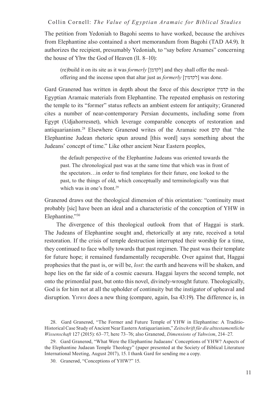The petition from Yedoniah to Bagohi seems to have worked, because the archives from Elephantine also contained a short memorandum from Bagohi (TAD A4.9). It authorizes the recipient, presumably Yedoniah, to "say before Arsames" concerning the house of Yhw the God of Heaven (ll. 8–10):

(re)build it on its site as it was *formerly* [לקדמן [and they shall offer the mealoffering and the incense upon that altar just as *formerly* [לקדמין [was done.

Gard Granerød has written in depth about the force of this descriptor קדמין in the Egyptian Aramaic materials from Elephantine. The repeated emphasis on restoring the temple to its "former" status reflects an ambient esteem for antiquity; Granerød cites a number of near-contemporary Persian documents, including some from Egypt (Udjahorresnet), which leverage comparable concepts of restoration and antiquarianism.28 Elsewhere Granerød writes of the Aramaic root קדם that "the Elephantine Judean rhetoric spun around [this word] says something about the Judeans' concept of time." Like other ancient Near Eastern peoples,

the default perspective of the Elephantine Judeans was oriented towards the past. The chronological past was at the same time that which was in front of the spectators…in order to find templates for their future, one looked to the past, to the things of old, which conceptually and terminologically was that which was in one's front.<sup>29</sup>

Granerød draws out the theological dimension of this orientation: "continuity must probably [sic] have been an ideal and a characteristic of the conception of YHW in Elephantine."30

The divergence of this theological outlook from that of Haggai is stark. The Judeans of Elephantine sought and, rhetorically at any rate, received a total restoration. If the crisis of temple destruction interrupted their worship for a time, they continued to face wholly towards that past regimen. The past was their template for future hope; it remained fundamentally recuperable. Over against that, Haggai prophesies that the past is, or will be, *lost*: the earth and heavens will be shaken, and hope lies on the far side of a cosmic caesura. Haggai layers the second temple, not onto the primordial past, but onto this novel, divinely-wrought future. Theologically, God is for him not at all the upholder of continuity but the instigator of upheaval and disruption. Yhwh does a new thing (compare, again, Isa 43:19). The difference is, in

28. Gard Granerød, "The Former and Future Temple of YHW in Elephantine: A Traditio-Historical Case Study of Ancient Near Eastern Antiquarianism," *Zeitschrift für die alttestamentliche Wissenschaft* 127 (2015): 63–77, here 73–76; also Granerød, *Dimensions of Yahwism*, 214–27.

29. Gard Granerød, "What Were the Elephantine Judaeans' Conceptions of YHW? Aspects of the Elephantine Judaean Temple Theology" (paper presented at the Society of Biblical Literature International Meeting, August 2017), 15. I thank Gard for sending me a copy.

30. Granerød, "Conceptions of YHW?" 15.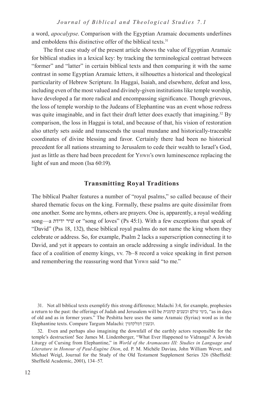a word, *apocalypse*. Comparison with the Egyptian Aramaic documents underlines and emboldens this distinctive offer of the biblical texts.<sup>31</sup>

The first case study of the present article shows the value of Egyptian Aramaic for biblical studies in a lexical key: by tracking the terminological contrast between "former" and "latter" in certain biblical texts and then comparing it with the same contrast in some Egyptian Aramaic letters, it silhouettes a historical and theological particularity of Hebrew Scripture. In Haggai, Isaiah, and elsewhere, defeat and loss, including even of the most valued and divinely-given institutions like temple worship, have developed a far more radical and encompassing significance. Though grievous, the loss of temple worship to the Judeans of Elephantine was an event whose redress was quite imaginable, and in fact their draft letter does exactly that imagining.<sup>32</sup> By comparison, the loss in Haggai is total, and because of that, his vision of restoration also utterly sets aside and transcends the usual mundane and historically-traceable coordinates of divine blessing and favor. Certainly there had been no historical precedent for all nations streaming to Jerusalem to cede their wealth to Israel's God, just as little as there had been precedent for Yhwh's own luminescence replacing the light of sun and moon (Isa 60:19).

#### **Transmitting Royal Traditions**

The biblical Psalter features a number of "royal psalms," so called because of their shared thematic focus on the king. Formally, these psalms are quite dissimilar from one another. Some are hymns, others are prayers. One is, apparently, a royal wedding song—a ידידת שירׁ or "song of loves" (Ps 45:1). With a few exceptions that speak of "David" (Pss 18, 132), these biblical royal psalms do not name the king whom they celebrate or address. So, for example, Psalm 2 lacks a superscription connecting it to David, and yet it appears to contain an oracle addressing a single individual. In the face of a coalition of enemy kings, vv. 7b–8 record a voice speaking in first person and remembering the reassuring word that YHWH said "to me."

<sup>31</sup>. Not all biblical texts exemplify this strong difference; Malachi 3:4, for example, prophesies a return to the past: the offerings of Judah and Jerusalem will be קדמנית וכשנים עולם כימי," as in days of old and as in former years." The Peshitta here uses the same Aramaic (Syriac) word as in the Elephantine texts. Compare Targum Malachi: דמלקדמין וכשנין.

<sup>32</sup>. Even and perhaps also imagining the downfall of the earthly actors responsible for the temple's destruction! See James M. Lindenberger, "What Ever Happened to Vidranga? A Jewish Liturgy of Cursing from Elephantine," in *World of the Aramaeans III: Studies in Language and Literature in Honour of Paul-Eugène Dion*, ed. P. M. Michèle Daviau, John William Wever, and Michael Weigl, Journal for the Study of the Old Testament Supplement Series 326 (Sheffield: Sheffield Academic, 2001), 134–57.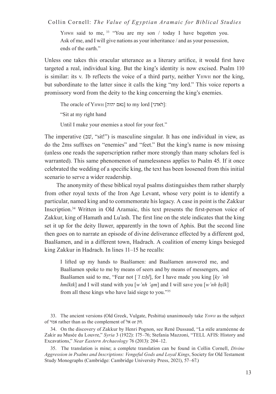YHWH said to me, <sup>33</sup> "You are my son / today I have begotten you. Ask of me, and I will give nations as your inheritance / and as your possession, ends of the earth."

Unless one takes this oracular utterance as a literary artifice, it would first have targeted a real, individual king. But the king's identity is now excised. Psalm 110 is similar: its v. 1b reflects the voice of a third party, neither Yhwh nor the king, but subordinate to the latter since it calls the king "my lord." This voice reports a promissory word from the deity to the king concerning the king's enemies.

The oracle of YHWH [נאם יהוה] to my lord [ $\cdot$  : "Sit at my right hand

Until I make your enemies a stool for your feet."

The imperative  $(\exists \ddot{v}, "sit]$ ") is masculine singular. It has one individual in view, as do the 2ms suffixes on "enemies" and "feet." But the king's name is now missing (unless one reads the superscription rather more strongly than many scholars feel is warranted). This same phenomenon of namelessness applies to Psalm 45. If it once celebrated the wedding of a specific king, the text has been loosened from this initial scenario to serve a wider readership.

The anonymity of these biblical royal psalms distinguishes them rather sharply from other royal texts of the Iron Age Levant, whose very point is to identify a particular, named king and to commemorate his legacy. A case in point is the Zakkur Inscription.34 Written in Old Aramaic, this text presents the first-person voice of Zakkur, king of Hamath and Lu'ash. The first line on the stele indicates that the king set it up for the deity Iluwer, apparently in the town of Aphis. But the second line then goes on to narrate an episode of divine deliverance effected by a different god, Baalšamen, and in a different town, Hadrach. A coalition of enemy kings besieged king Zakkur in Hadrach. In lines 11–15 he recalls:

I lifted up my hands to Baalšamen: and Baalšamen answered me, and Baalšamen spoke to me by means of seers and by means of messengers, and Baalšamen said to me, "Fear not [*'l tzḥl*], for I have made you king [*ky 'nh hmlktk*] and I will stand with you [*w'nh 'qm*] and I will save you [*w'nh ḥṣlk*] from all these kings who have laid siege to you."35

<sup>33</sup>. The ancient versions (Old Greek, Vulgate, Peshitta) unanimously take *Yhwh* as the subject of אמר rather than as the complement of אל or חק*.* 

<sup>34</sup>. On the discovery of Zakkur by Henri Pognon, see René Dussaud, "La stèle araméenne de Zakir au Musée du Louvre," *Syria* 3 (1922): 175–76; Stefania Mazzoni, "TELL AFIS: History and Excavations," *Near Eastern Archaeology* 76 (2013): 204–12.

<sup>35</sup>. The translation is mine; a complete translation can be found in Collin Cornell, *Divine Aggression in Psalms and Inscriptions: Vengeful Gods and Loyal Kings*, Society for Old Testament Study Monographs (Cambridge: Cambridge University Press, 2021), 57–67.)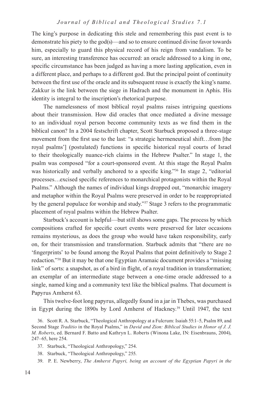The king's purpose in dedicating this stele and remembering this past event is to demonstrate his piety to the god(s)—and so to ensure continued divine favor towards him, especially to guard this physical record of his reign from vandalism. To be sure, an interesting transference has occurred: an oracle addressed to a king in one, specific circumstance has been judged as having a more lasting application, even in a different place, and perhaps to a different god. But the principal point of continuity between the first use of the oracle and its subsequent reuse is exactly the king's name. Zakkur is the link between the siege in Hadrach and the monument in Aphis. His identity is integral to the inscription's rhetorical purpose.

The namelessness of most biblical royal psalms raises intriguing questions about their transmission. How did oracles that once mediated a divine message to an individual royal person become community texts as we find them in the biblical canon? In a 2004 festschrift chapter, Scott Starbuck proposed a three-stage movement from the first use to the last: "a strategic hermeneutical shift...from [the royal psalms'] (postulated) functions in specific historical royal courts of Israel to their theologically nuance-rich claims in the Hebrew Psalter." In stage 1, the psalm was composed "for a court-sponsored event. At this stage the Royal Psalm was historically and verbally anchored to a specific king."36 In stage 2, "editorial processes…excised specific references to monarchical protagonists within the Royal Psalms." Although the names of individual kings dropped out, "monarchic imagery and metaphor within the Royal Psalms were preserved in order to be reappropriated by the general populace for worship and study."37 Stage 3 refers to the programmatic placement of royal psalms within the Hebrew Psalter.

Starbuck's account is helpful—but still shows some gaps. The process by which compositions crafted for specific court events were preserved for later occasions remains mysterious, as does the group who would have taken responsibility, early on, for their transmission and transformation. Starbuck admits that "there are no 'fingerprints' to be found among the Royal Psalms that point definitively to Stage 2 redaction."38 But it may be that one Egyptian Aramaic document provides a "missing link" of sorts: a snapshot, as of a bird in flight, of a royal tradition in transformation; an exemplar of an intermediate stage between a one-time oracle addressed to a single, named king and a community text like the biblical psalms. That document is Papyrus Amherst 63.

This twelve-foot long papyrus, allegedly found in a jar in Thebes, was purchased in Egypt during the 1890s by Lord Amherst of Hackney.<sup>39</sup> Until 1947, the text

- 38. Starbuck, "Theological Anthropology," 255.
- 39. P. E. Newberry, *The Amherst Papyri, being an account of the Egyptian Papyri in the*

<sup>36</sup>. Scott R. A. Starbuck, "Theological Anthropology at a Fulcrum: Isaiah 55:1–5, Psalm 89, and Second Stage *Traditio* in the Royal Psalms," in *David and Zion: Biblical Studies in Honor of J. J. M. Roberts*, ed. Bernard F. Batto and Kathryn L. Roberts (Winona Lake, IN: Eisenbrauns, 2004), 247–65, here 254.

<sup>37</sup>. Starbuck, "Theological Anthropology," 254.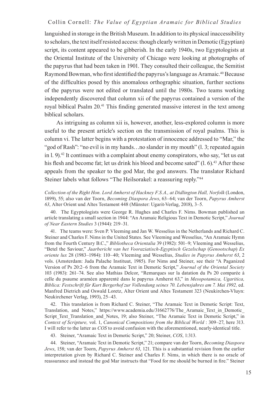languished in storage in the British Museum. In addition to its physical inaccessibility to scholars, the text itself resisted access: though clearly written in Demotic (Egyptian) script, its content appeared to be gibberish. In the early 1940s, two Egyptologists at the Oriental Institute of the University of Chicago were looking at photographs of the papyrus that had been taken in 1901. They consulted their colleague, the Semitist Raymond Bowman, who first identified the papyrus's language as Aramaic.<sup>40</sup> Because of the difficulties posed by this anomalous orthographic situation, further sections of the papyrus were not edited or translated until the 1980s. Two teams working independently discovered that column xii of the papyrus contained a version of the royal biblical Psalm 20.41 This finding generated massive interest in the text among biblical scholars.

As intriguing as column xii is, however, another, less-explored column is more useful to the present article's section on the transmission of royal psalms. This is column vi. The latter begins with a protestation of innocence addressed to "Mar," the "god of Rash": "no evil is in my hands...no slander in my mouth" (1. 3; repeated again in  $\alpha$ . 9).<sup>42</sup> It continues with a complaint about enemy conspirators, who say, "let us eat his flesh and become fat; let us drink his blood and become sated" (l. 6).<sup>43</sup> After these appeals from the speaker to the god Mar, the god answers. The translator Richard Steiner labels what follows "The Heilsorakel: a reassuring reply."<sup>44</sup>

*Collection of the Right Hon. Lord Amherst of Hackney F.S.A., at Didlington Hall, Norfolk* (London, 1899), 55; also van der Toorn, *Becoming Diaspora Jews*, 63–64; van der Toorn, *Papyrus Amherst 63*, Alter Orient und Altes Testament 448 (Münster: Ugarit-Verlag, 2018), 3–5.

40. The Egyptologists were George R. Hughes and Charles F. Nims. Bowman published an article translating a small section in 1944: "An Aramaic Religious Text in Demotic Script," *Journal of Near Eastern Studies* 3 (1944): 219–31.

41. The teams were: Sven P. Vleeming and Jan W. Wesselius in the Netherlands and Richard C. Steiner and Charles F. Nims in the United States. See Vleeming and Wesselius, "An Aramaic Hymn from the Fourth Century B.C.," *Bibliotheca Orientalia* 39 (1982): 501–9; Vleeming and Wesselius, "Betel the Saviour," *Jaarbericht van het Vooraziatisch-Egyptisch Gezelschap* (*Genootschap*) *Ex oriente lux* 28 (1983–1984): 110–40; Vleeming and Wesselius, *Studies in Papyrus Amherst 63*, 2 vols. (Amsterdam: Juda Palache Instituut, 1985). For Nims and Steiner, see their "A Paganized Version of Ps 20:2–6 from the Aramaic Text in Demotic Script," *Journal of the Oriental Society* 103 (1983): 261–74. See also Mathias Delcor, "Remarques sur la datation du Ps 20 comparée à celle du psaume araméen apparenté dans le papyrus Amherst 63," in *Mesopotamica, Ugaritica, Biblica: Festschrift für Kurt Bergerhof zur Vollendung seines 70. Lebensjahres am 7. Mai 1992,* ed. Manfred Dietrich and Oswald Loretz, Alter Orient und Altes Testament 323 (Neukirchen-Vluyn: Neukirchener Verlag, 1993), 25–43.

42. This translation is from Richard C. Steiner, "The Aramaic Text in Demotic Script: Text, Translation, and Notes," https://www.academia.edu/31662776/The\_Aramaic\_Text\_in\_Demotic\_ Script Text Translation and Notes, 19; also Steiner, "The Aramaic Text in Demotic Script," in *Context of Scripture,* vol. 1, *Canonical Compositions from the Biblical World* : 309–27, here 313. I will refer to the latter as *COS* to avoid confusion with the aforementioned, nearly-identical title.

43. Steiner, "Aramaic Text in Demotic Script," 20; Steiner, *COS*, 1:313.

44. Steiner, "Aramaic Text in Demotic Script," 21; compare van der Toorn, *Becoming Diaspora Jews*, 158; van der Toorn, *Papyrus Amherst 63*, 121. This is a substantial revision from the earlier interpretation given by Richard C. Steiner and Charles F. Nims, in which there is no oracle of reassurance and instead the god Mar instructs that "Food for me should be burned in fire." Steiner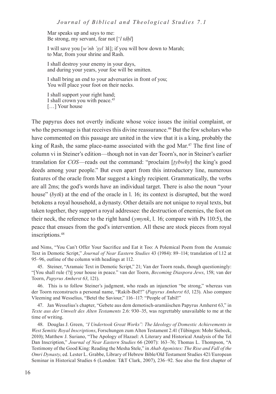Mar speaks up and says to me: Be strong, my servant, fear not ['*l tdḥl*]

I will save you [*w'nh 'ṣyl 'tk*]; if you will bow down to Marah; to Mar, from your shrine and Rash.

I shall destroy your enemy in your days, and during your years, your foe will be smitten.

I shall bring an end to your adversaries in front of you; You will place your foot on their necks.

I shall support your right hand; I shall crown you with peace.<sup>45</sup> [...] Your house

The papyrus does not overtly indicate whose voice issues the initial complaint, or who the personage is that receives this divine reassurance.<sup>46</sup> But the few scholars who have commented on this passage are united in the view that it is a king, probably the king of Rash, the same place-name associated with the god Mar.<sup>47</sup> The first line of column vi in Steiner's edition—though not in van der Toorn's, nor in Steiner's earlier translation for *COS*—reads out the command: "proclaim [*ṭybwhy*] the king's good deeds among your people." But even apart from this introductory line, numerous features of the oracle from Mar suggest a kingly recipient. Grammatically, the verbs are all 2ms; the god's words have an individual target. There is also the noun "your house" (*bytk*) at the end of the oracle in l. 16; its context is disrupted, but the word betokens a royal household, a dynasty. Other details are not unique to royal texts, but taken together, they support a royal addressee: the destruction of enemies, the foot on their neck, the reference to the right hand (*ymynk*, l. 16; compare with Ps 110:5), the peace that ensues from the god's intervention. All these are stock pieces from royal inscriptions.<sup>48</sup>

and Nims, "You Can't Offer Your Sacrifice and Eat it Too: A Polemical Poem from the Aramaic Text in Demotic Script," *Journal of Near Eastern Studies* 43 (1984): 89–114; translation of l.12 at 95–96, outline of the column with headings at 112.

45. Steiner, "Aramaic Text in Demotic Script," 21; Van der Toorn reads, though questioningly: "[You shall rule (?)] your house in peace." van der Toorn, *Becoming Diaspora Jews*, 158; van der Toorn, *Papyrus Amherst 63*, 121).

46. This is to follow Steiner's judgment, who reads an injunction "be strong," whereas van der Toorn reconstructs a personal name, "Rakib-Bol!!" (*Papyrus Amherst 63*, 123). Also compare Vleeming and Wesselius, "Betel the Saviour," 116–117: "People of Tabil!"

47. Jan Wesselius's chapter, "Gebete aus dem demotisch-aramäischen Papyrus Amherst 63," in *Texte aus der Umwelt des Alten Testaments* 2.6: 930–35, was regrettably unavailable to me at the time of writing.

48. Douglas J. Green, *"I Undertook Great Works": The Ideology of Domestic Achievements in West Semitic Royal Inscriptions*, Forschungen zum Alten Testament 2.41 (Tübingen: Mohr Siebeck, 2010); Matthew J. Suriano, "The Apology of Hazael: A Literary and Historical Analysis of the Tel Dan Inscription," *Journal of Near Eastern Studies* 66 (2007): 163–76; Thomas L. Thompson, "A Testimony of the Good King: Reading the Mesha Stele," in *Ahab Agonistes: The Rise and Fall of the Omri Dynasty*, ed. Lester L. Grabbe, Library of Hebrew Bible/Old Testament Studies 421/European Seminar in Historical Studies 6 (London: T&T Clark, 2007), 236–92. See also the first chapter of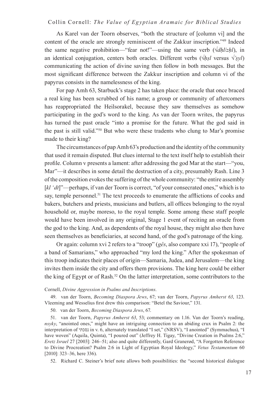As Karel van der Toorn observes, "both the structure of [column vi] and the content of the oracle are strongly reminiscent of the Zakkur inscription."49 Indeed the same negative prohibition—"fear not!"—using the same verb  $(\sqrt{dh}/\sqrt{zh}/h)$ , in an identical conjugation, centers both oracles. Different verbs (√*ḥṣl* versus √*'ṣyl*) communicating the action of divine saving then follow in both messages. But the most significant difference between the Zakkur inscription and column vi of the papyrus consists in the namelessness of the king.

For pap Amh 63, Starbuck's stage 2 has taken place: the oracle that once braced a real king has been scrubbed of his name; a group or community of aftercomers has reappropriated the Heilsorakel, because they saw themselves as somehow participating in the god's word to the king. As van der Toorn writes, the papyrus has turned the past oracle "into a promise for the future. What the god said in the past is still valid."50 But who were these tradents who clung to Mar's promise made to their king?

The circumstances of pap Amh 63's production and the identity of the community that used it remain disputed. But clues internal to the text itself help to establish their profile. Column v presents a lament: after addressing the god Mar at the start—"you, Mar"—it describes in some detail the destruction of a city, presumably Rash. Line 3 of the composition evokes the suffering of the whole community: "the entire assembly [kl 'dt]"—perhaps, if van der Toorn is correct, "of your consecrated ones," which is to say, temple personnel.<sup>51</sup> The text proceeds to enumerate the afflictions of cooks and bakers, butchers and priests, musicians and butlers, all offices belonging to the royal household or, maybe moreso, to the royal temple. Some among these staff people would have been involved in any original, Stage 1 event of reciting an oracle from the god to the king. And, as dependents of the royal house, they might also then have seen themselves as beneficiaries, at second hand, of the god's patronage of the king.

Or again: column xvi 2 refers to a "troop" (*gês*, also compare xxi 17), "people of a band of Samarians," who approached "my lord the king." After the spokesman of this troop indicates their places of origin—Samaria, Judea, and Jerusalem—the king invites them inside the city and offers them provisions. The king here could be either the king of Egypt or of Rash.52 On the latter interpretation, some contributors to the

#### Cornell, *Divine Aggression in Psalms and Inscriptions*.

49. van der Toorn, *Becoming Diaspora Jews*, 67; van der Toorn, *Papyrus Amherst 63*, 123. Vleeming and Wesselius first drew this comparison: "Betel the Saviour," 131.

50. van der Toorn, *Becoming Diaspora Jews*, 67.

51. van der Toorn, *Papyrus Amherst 63*, 53; commentary on 1.16. Van der Toorn's reading, *nsyky*, "anointed ones," might have an intriguing connection to an abiding crux in Psalm 2: the interpretation of נסכתי in v. 6, alternately translated "I set," (NRSV), "I anointed" (Symmachus), "I have woven" (Aquila, Quinta), "I poured out" (Jeffrey H. Tigay, "Divine Creation in Psalms 2:6," *Eretz Israel* 27 [2003]: 246–51; also and quite differently, Gard Granerød, "A Forgotten Reference to Divine Procreation? Psalm 2:6 in Light of Egyptian Royal Ideology," *Vetus Testamentum* 60 [2010]: 323–36, here 336).

52. Richard C. Steiner's brief note allows both possibilities: the "second historical dialogue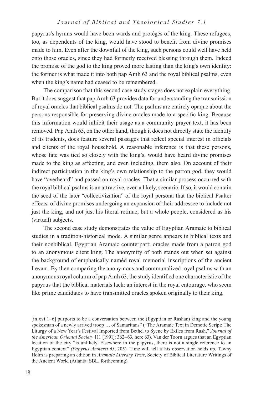papyrus's hymns would have been wards and protégés of the king. These refugees, too, as dependents of the king, would have stood to benefit from divine promises made to him. Even after the downfall of the king, such persons could well have held onto those oracles, since they had formerly received blessing through them. Indeed the promise of the god to the king proved more lasting than the king's own identity: the former is what made it into both pap Amh 63 and the royal biblical psalms, even when the king's name had ceased to be remembered.

The comparison that this second case study stages does not explain everything. But it does suggest that pap Amh 63 provides data for understanding the transmission of royal oracles that biblical psalms do not. The psalms are entirely opaque about the persons responsible for preserving divine oracles made to a specific king. Because this information would inhibit their usage as a community prayer text, it has been removed. Pap Amh 63, on the other hand, though it does not directly state the identity of its tradents, does feature several passages that reflect special interest in officials and clients of the royal household. A reasonable inference is that these persons, whose fate was tied so closely with the king's, would have heard divine promises made to the king as affecting, and even including, them also. On account of their indirect participation in the king's own relationship to the patron god, they would have "overheard" and passed on royal oracles. That a similar process occurred with the royal biblical psalms is an attractive, even a likely, scenario. If so, it would contain the seed of the later "collectivization" of the royal persona that the biblical Psalter effects: of divine promises undergoing an expansion of their addressee to include not just the king, and not just his literal retinue, but a whole people, considered as his (virtual) subjects.

The second case study demonstrates the value of Egyptian Aramaic to biblical studies in a tradition-historical mode. A similar genre appears in biblical texts and their nonbiblical, Egyptian Aramaic counterpart: oracles made from a patron god to an anonymous client king. The anonymity of both stands out when set against the background of emphatically naméd royal memorial inscriptions of the ancient Levant. By then comparing the anonymous and communalized royal psalms with an anonymous royal column of pap Amh 63, the study identified one characteristic of the papyrus that the biblical materials lack: an interest in the royal entourage, who seem like prime candidates to have transmitted oracles spoken originally to their king.

<sup>[</sup>in xvi 1–6] purports to be a conversation between the (Egyptian or Rashan) king and the young spokesman of a newly arrived troop … of Samaritans" ("The Aramaic Text in Demotic Script: The Liturgy of a New Year's Festival Imported from Bethel to Syene by Exiles from Rash," *Journal of the American Oriental Society* 111 [1991]: 362–63, here 63). Van der Toorn argues that an Egyptian location of the city "is unlikely. Elsewhere in the papyrus, there is not a single reference to an Egyptian context" *(Papyrus Amherst 63*, 205). Time will tell if his observation holds up. Tawny Holm is preparing an edition in *Aramaic Literary Texts*, Society of Biblical Literature Writings of the Ancient World (Atlanta: SBL, forthcoming).